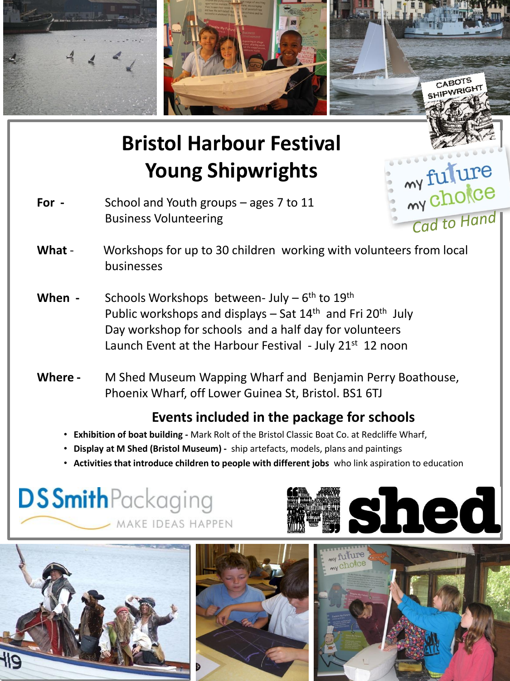

# **Bristol Harbour Festival Young Shipwrights**

- **For** School and Youth groups ages 7 to 11 Business Volunteering
- What Workshops for up to 30 children working with volunteers from local businesses
- When Schools Workshops between- July 6<sup>th</sup> to 19<sup>th</sup> Public workshops and displays – Sat 14<sup>th</sup> and Fri 20<sup>th</sup> July Day workshop for schools and a half day for volunteers Launch Event at the Harbour Festival - July 21<sup>st</sup> 12 noon
- **Where -** M Shed Museum Wapping Wharf and Benjamin Perry Boathouse, Phoenix Wharf, off Lower Guinea St, Bristol. BS1 6TJ

### **Events included in the package for schools**

- **Exhibition of boat building -** Mark Rolt of the Bristol Classic Boat Co. at Redcliffe Wharf,
- • **Display at M Shed (Bristol Museum)** ship artefacts, models, plans and paintings
- **Activities that introduce children to people with different jobs** who link aspiration to education

## **DSSmith**Packaging MAKE IDEAS HAPPEN









my fulure

Cad to Hand